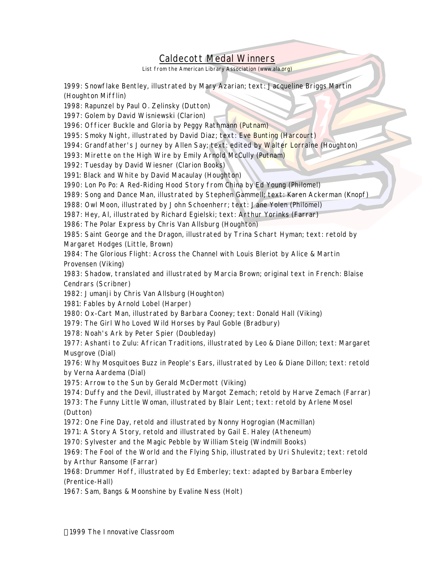## Caldecott Medal Winners

List from the American Library Association (www.ala.org)

1999: *Snowflake Bentley*, illustrated by Mary Azarian; text: Jacqueline Briggs Martin (Houghton Mifflin)

1998: *Rapunzel* by Paul O. Zelinsky (Dutton)

1997: *Golem* by David Wisniewski (Clarion)

1996: *Officer Buckle and Gloria* by Peggy Rathmann (Putnam)

1995: *Smoky Night*, illustrated by David Diaz; text: Eve Bunting (Harcourt)

1994: *Grandfather's Journey* by Allen Say; text: edited by Walter Lorraine (Houghton)

1993: *Mirette on the High Wire* by Emily Arnold McCully (Putnam)

1992: *Tuesday* by David Wiesner (Clarion Books)

1991: *Black and White* by David Macaulay (Houghton)

1990: *Lon Po Po: A Red-Riding Hood Story from China* by Ed Young (Philomel)

1989: *Song and Dance Man*, illustrated by Stephen Gammell; text: Karen Ackerman (Knopf)

1988: *Owl Moon*, illustrated by John Schoenherr; text: Jane Yolen (Philomel)

1987: *Hey*, Al, illustrated by Richard Egielski; text: Arthur Yorinks (Farrar)

1986: *The Polar Express* by Chris Van Allsburg (Houghton)

1985: *Saint George and the Dragon*, illustrated by Trina Schart Hyman; text: retold by Margaret Hodges (Little, Brown)

1984: *The Glorious Flight: Across the Channel with Louis Bleriot* by Alice & Martin Provensen (Viking)

1983: *Shadow*, translated and illustrated by Marcia Brown; original text in French: Blaise Cendrars (Scribner)

1982: *Jumanji* by Chris Van Allsburg (Houghton)

1981: *Fables* by Arnold Lobel (Harper)

1980: *Ox-Cart Man*, illustrated by Barbara Cooney; text: Donald Hall (Viking)

1979: *The Girl Who Loved Wild Horses* by Paul Goble (Bradbury)

1978: *Noah's Ark* by Peter Spier (Doubleday)

1977: *Ashanti to Zulu: African Traditions*, illustrated by Leo & Diane Dillon; text: Margaret Musgrove (Dial)

1976: *Why Mosquitoes Buzz in People's Ears*, illustrated by Leo & Diane Dillon; text: retold by Verna Aardema (Dial)

1975: *Arrow to the Sun* by Gerald McDermott (Viking)

1974: *Duffy and the Devil*, illustrated by Margot Zemach; retold by Harve Zemach (Farrar)

1973: *The Funny Little Woman*, illustrated by Blair Lent; text: retold by Arlene Mosel (Dutton)

1972: *One Fine Day*, retold and illustrated by Nonny Hogrogian (Macmillan)

1971: *A Story A Story*, retold and illustrated by Gail E. Haley (Atheneum)

1970: *Sylvester and the Magic Pebble* by William Steig (Windmill Books)

1969: *The Fool of the World and the Flying Ship*, illustrated by Uri Shulevitz; text: retold by Arthur Ransome (Farrar)

1968: *Drummer Hoff*, illustrated by Ed Emberley; text: adapted by Barbara Emberley (Prentice-Hall)

1967: *Sam, Bangs & Moonshine* by Evaline Ness (Holt)